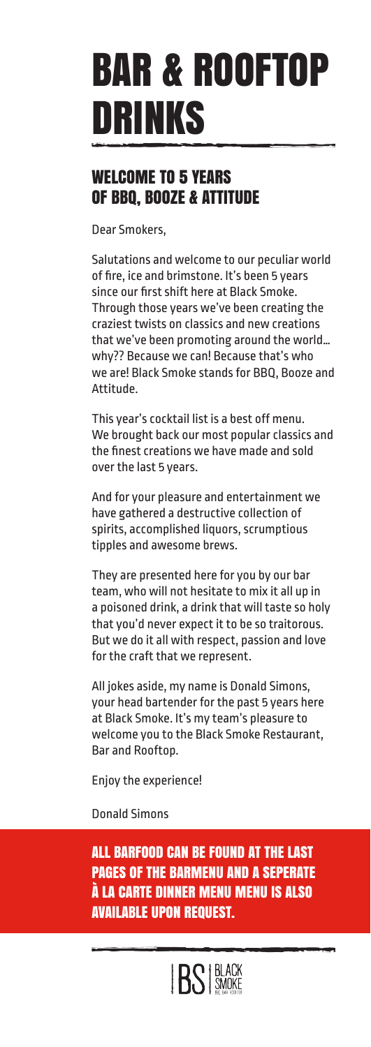# BAR & ROOFTOP DRINKS

## WELCOME TO 5 YEARS OF BBQ, BOOZE & ATTITUDE

Dear Smokers,

Salutations and welcome to our peculiar world of fire, ice and brimstone. It's been 5 years since our first shift here at Black Smoke. Through those years we've been creating the craziest twists on classics and new creations that we've been promoting around the world… why?? Because we can! Because that's who we are! Black Smoke stands for BBQ, Booze and Attitude.

This year's cocktail list is a best off menu. We brought back our most popular classics and the finest creations we have made and sold over the last 5 years.

And for your pleasure and entertainment we have gathered a destructive collection of spirits, accomplished liquors, scrumptious tipples and awesome brews.

They are presented here for you by our bar team, who will not hesitate to mix it all up in a poisoned drink, a drink that will taste so holy that you'd never expect it to be so traitorous. But we do it all with respect, passion and love for the craft that we represent.

All jokes aside, my name is Donald Simons, your head bartender for the past 5 years here at Black Smoke. It's my team's pleasure to welcome you to the Black Smoke Restaurant, Bar and Rooftop.

Enjoy the experience!

Donald Simons

ALL BARFOOD CAN BE FOUND AT THE LAST PAGES OF THE BARMENU AND A SEPERATE À LA CARTE DINNER MENU MENU IS ALSO AVAILABLE UPON REQUEST.

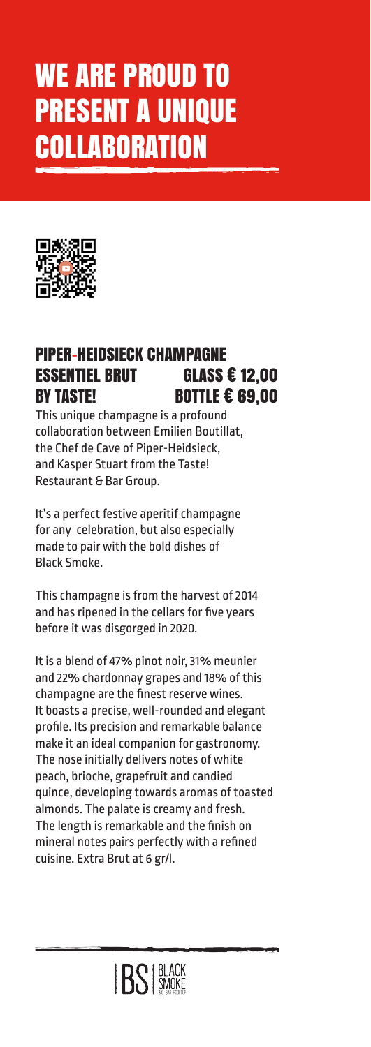# WE ARE PROUD TO PRESENT A UNIQUE **COLLABORATION**



### PIPER-HEIDSIECK CHAMPAGNE ESSENTIEL BRUT GLASS € 12,00 BY TASTE! BOTTLE € 69.00

This unique champagne is a profound collaboration between Emilien Boutillat, the Chef de Cave of Piper-Heidsieck, and Kasper Stuart from the Taste! Restaurant & Bar Group.

It's a perfect festive aperitif champagne for any celebration, but also especially made to pair with the bold dishes of Black Smoke.

This champagne is from the harvest of 2014 and has ripened in the cellars for five years before it was disgorged in 2020.

It is a blend of 47% pinot noir, 31% meunier and 22% chardonnay grapes and 18% of this champagne are the finest reserve wines. It boasts a precise, well-rounded and elegant profile. Its precision and remarkable balance make it an ideal companion for gastronomy. The nose initially delivers notes of white peach, brioche, grapefruit and candied quince, developing towards aromas of toasted almonds. The palate is creamy and fresh. The length is remarkable and the finish on mineral notes pairs perfectly with a refined cuisine. Extra Brut at 6 gr/l.

**IRS BLACK**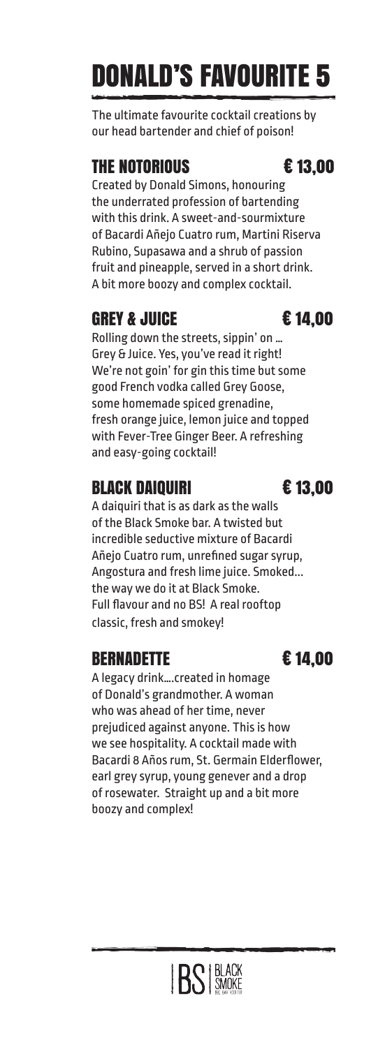# DONALD'S FAVOURITE 5

The ultimate favourite cocktail creations by our head bartender and chief of poison!

## THE NOTORIOUS € 13,00

Created by Donald Simons, honouring the underrated profession of bartending with this drink. A sweet-and-sourmixture of Bacardi Añejo Cuatro rum, Martini Riserva Rubino, Supasawa and a shrub of passion fruit and pineapple, served in a short drink. A bit more boozy and complex cocktail.

# GREY & JUICE  $\epsilon$  14.00

Rolling down the streets, sippin' on … Grey & Juice. Yes, you've read it right! We're not goin' for gin this time but some good French vodka called Grey Goose, some homemade spiced grenadine, fresh orange juice, lemon juice and topped with Fever-Tree Ginger Beer. A refreshing and easy-going cocktail!

# BLACK DAIQUIRI € 13,00

A daiquiri that is as dark as the walls of the Black Smoke bar. A twisted but incredible seductive mixture of Bacardi Añejo Cuatro rum, unrefined sugar syrup, Angostura and fresh lime juice. Smoked... the way we do it at Black Smoke. Full flavour and no BS! A real rooftop classic, fresh and smokey!

## BERNADETTE € 14,00

A legacy drink….created in homage of Donald's grandmother. A woman who was ahead of her time, never prejudiced against anyone. This is how we see hospitality. A cocktail made with Bacardi 8 Años rum, St. Germain Elderflower, earl grey syrup, young genever and a drop of rosewater. Straight up and a bit more boozy and complex!



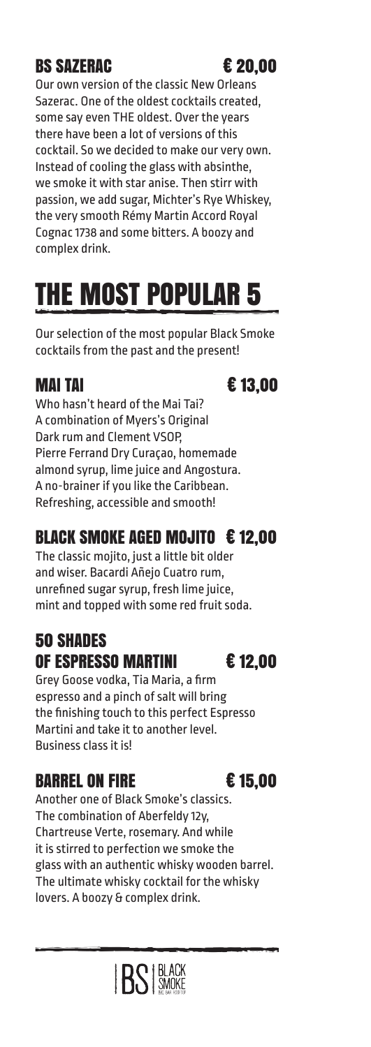# BS SAZERAC <del>€</del> 20.00

Our own version of the classic New Orleans Sazerac. One of the oldest cocktails created, some say even THE oldest. Over the years there have been a lot of versions of this cocktail. So we decided to make our very own. Instead of cooling the glass with absinthe, we smoke it with star anise. Then stirr with passion, we add sugar, Michter's Rye Whiskey, the very smooth Rémy Martin Accord Royal Cognac 1738 and some bitters. A boozy and complex drink.

# THE MOST POPULAR 5

Our selection of the most popular Black Smoke cocktails from the past and the present!

# MAI TAI  $\epsilon$  13,00

Who hasn't heard of the Mai Tai? A combination of Myers's Original Dark rum and Clement VSOP, Pierre Ferrand Dry Curaçao, homemade almond syrup, lime juice and Angostura. A no-brainer if you like the Caribbean. Refreshing, accessible and smooth!

# BLACK SMOKE AGED MOJITO € 12,00

The classic mojito, just a little bit older and wiser. Bacardi Añejo Cuatro rum, unrefined sugar syrup, fresh lime juice, mint and topped with some red fruit soda.

# 50 SHADES OF ESPRESSO MARTINI € 12,00

Grey Goose vodka, Tia Maria, a firm espresso and a pinch of salt will bring the finishing touch to this perfect Espresso Martini and take it to another level. Business class it is!

# BARREL ON FIRE € 15.00

Another one of Black Smoke's classics. The combination of Aberfeldy 12y, Chartreuse Verte, rosemary. And while it is stirred to perfection we smoke the glass with an authentic whisky wooden barrel. The ultimate whisky cocktail for the whisky lovers. A boozy & complex drink.

**BS** BLACK

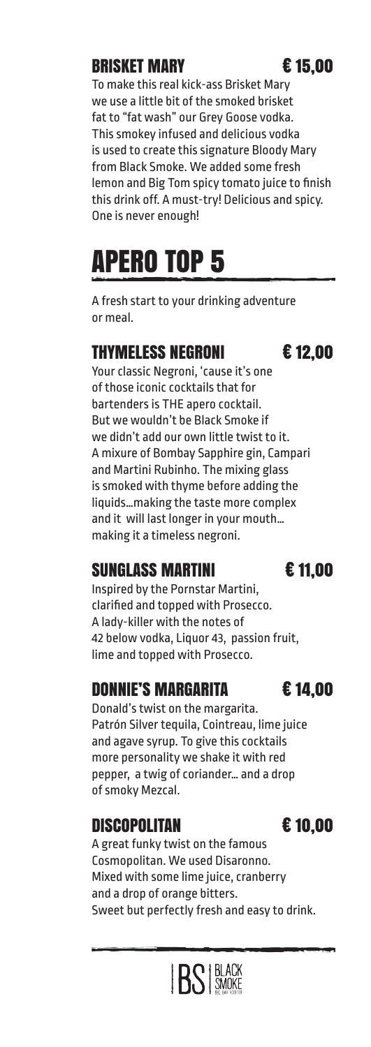# BRISKET MARY € 15,00

To make this real kick-ass Brisket Mary we use a little bit of the smoked brisket fat to "fat wash" our Grey Goose vodka. This smokey infused and delicious vodka is used to create this signature Bloody Mary from Black Smoke. We added some fresh lemon and Big Tom spicy tomato juice to finish this drink off. A must-try! Delicious and spicy. One is never enough!

# APERO TOP 5

A fresh start to your drinking adventure or meal.

## THYMELESS NEGRONI € 12,00

Your classic Negroni, 'cause it's one of those iconic cocktails that for bartenders is THE apero cocktail. But we wouldn't be Black Smoke if we didn't add our own little twist to it. A mixure of Bombay Sapphire gin, Campari and Martini Rubinho. The mixing glass is smoked with thyme before adding the liquids…making the taste more complex and it will last longer in your mouth… making it a timeless negroni.

# SUNGLASS MARTINI € 11,00

Inspired by the Pornstar Martini, clarified and topped with Prosecco. A lady-killer with the notes of 42 below vodka, Liquor 43, passion fruit, lime and topped with Prosecco.

## DONNIE'S MARGARITA **E** 14.00

Donald's twist on the margarita. Patrón Silver tequila, Cointreau, lime juice and agave syrup. To give this cocktails more personality we shake it with red pepper, a twig of coriander… and a drop of smoky Mezcal.

## DISCOPOLITAN € 10,00

A great funky twist on the famous Cosmopolitan. We used Disaronno. Mixed with some lime juice, cranberry and a drop of orange bitters. Sweet but perfectly fresh and easy to drink.

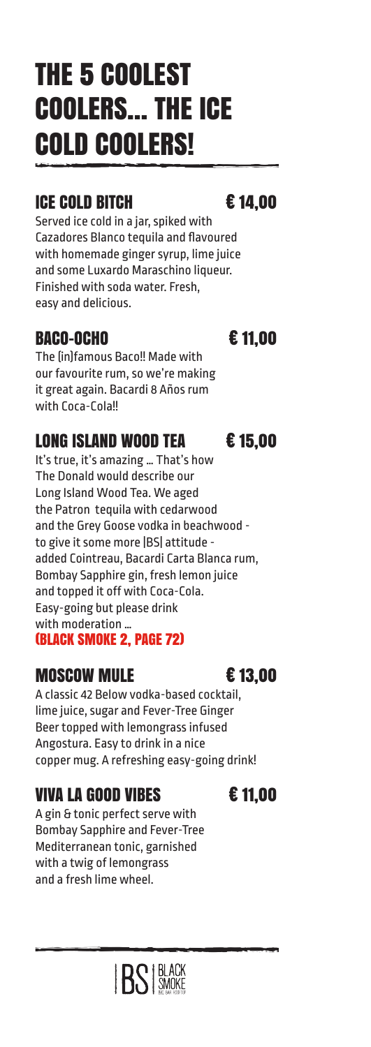# THE 5 COOLEST COOLERS… THE ICE COLD COOLERS!

# ICE COLD BITCH € 14,00

Served ice cold in a jar, spiked with Cazadores Blanco tequila and flavoured with homemade ginger syrup, lime juice and some Luxardo Maraschino liqueur. Finished with soda water. Fresh, easy and delicious.

## BACO-OCHO € 11,00

The (in)famous Baco!! Made with our favourite rum, so we're making it great again. Bacardi 8 Años rum with Coca-Cola!!

## LONG ISLAND WOOD TEA € 15,00

It's true, it's amazing … That's how The Donald would describe our Long Island Wood Tea. We aged the Patron tequila with cedarwood and the Grey Goose vodka in beachwood to give it some more |BS| attitude added Cointreau, Bacardi Carta Blanca rum, Bombay Sapphire gin, fresh lemon juice and topped it off with Coca-Cola. Easy-going but please drink with moderation … (BLACK SMOKE 2, PAGE 72)

## MOSCOW MULE € 13,00

A classic 42 Below vodka-based cocktail, lime juice, sugar and Fever-Tree Ginger Beer topped with lemongrass infused Angostura. Easy to drink in a nice copper mug. A refreshing easy-going drink!

# VIVA LA GOOD VIBES  $\epsilon$  11.00

A gin & tonic perfect serve with Bombay Sapphire and Fever-Tree Mediterranean tonic, garnished with a twig of lemongrass and a fresh lime wheel.

**BS** BLACK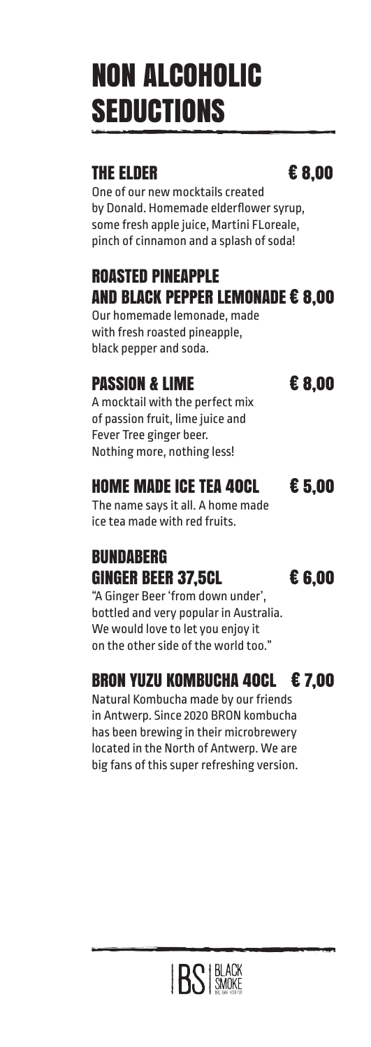# NON ALCOHOLIC **SEDUCTIONS**

### THE ELDER  $\epsilon$  8.00

One of our new mocktails created by Donald. Homemade elderflower syrup, some fresh apple juice, Martini FLoreale, pinch of cinnamon and a splash of soda!

# ROASTED PINEAPPLE AND BLACK PEPPER LEMONADE € 8,00

Our homemade lemonade, made with fresh roasted pineapple, black pepper and soda.

# PASSION & LIME € 8.00

A mocktail with the perfect mix of passion fruit, lime juice and Fever Tree ginger beer. Nothing more, nothing less!

# HOME MADE ICE TEA 40CL € 5,00

The name says it all. A home made ice tea made with red fruits.

# **BUNDARFRG** GINGER BEER 37.5CL  $\epsilon$  6.00

"A Ginger Beer 'from down under', bottled and very popular in Australia. We would love to let you enjoy it on the other side of the world too."

# BRON YUZU KOMBUCHA 40CL € 7,00

Natural Kombucha made by our friends in Antwerp. Since 2020 BRON kombucha has been brewing in their microbrewery located in the North of Antwerp. We are big fans of this super refreshing version.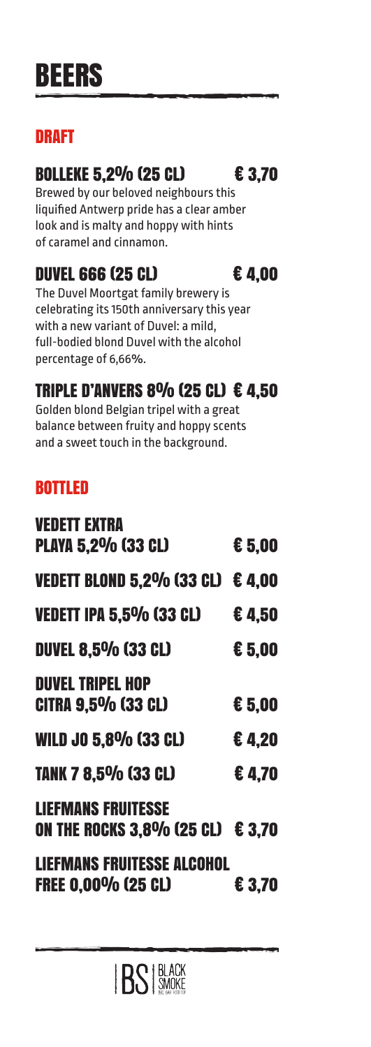# DRAFT

# BOLLEKE 5,2% (25 CL) € 3,70

Brewed by our beloved neighbours this liquified Antwerp pride has a clear amber look and is malty and hoppy with hints of caramel and cinnamon.

# DUVEL 666 (25 CL)  $\epsilon$  4,00

The Duvel Moortgat family brewery is celebrating its 150th anniversary this year with a new variant of Duvel: a mild, full-bodied blond Duvel with the alcohol percentage of 6,66%.

# TRIPLE D'ANVERS 8% (25 CL)  $\epsilon$  4.50

Golden blond Belgian tripel with a great balance between fruity and hoppy scents and a sweet touch in the background.

# BOTTLED

| <b>VEDETT EXTRA</b>                     |          |
|-----------------------------------------|----------|
| <b>PLAYA 5,2% (33 CL)</b>               | € 5,00   |
| <b>VEDETT BLOND 5,2% (33 CL)</b>        | €4.00    |
| <b>VEDETT IPA 5,5% (33 CL)</b>          | €4,50    |
| <b>DUVEL 8.5% (33 CL)</b>               | € 5,00   |
| <b>DUVEL TRIPEL HOP</b>                 |          |
| <b>CITRA 9.5% (33 CL)</b>               | $E$ 5,00 |
| <b>WILD JO 5.8% (33 CL)</b>             | €4.20    |
| <b>TANK 7 8.5% (33 CL)</b>              | €4.70    |
| <b>LIEFMANS FRUITESSE</b>               |          |
| <b>ON THE ROCKS 3.8% (25 CL) € 3.70</b> |          |
| <b>LIEFMANS FRUITESSE ALCOHOL</b>       |          |
| <b>FREE 0.00% (25 CL)</b>               | € 3.70   |
|                                         |          |

**BS** BLACK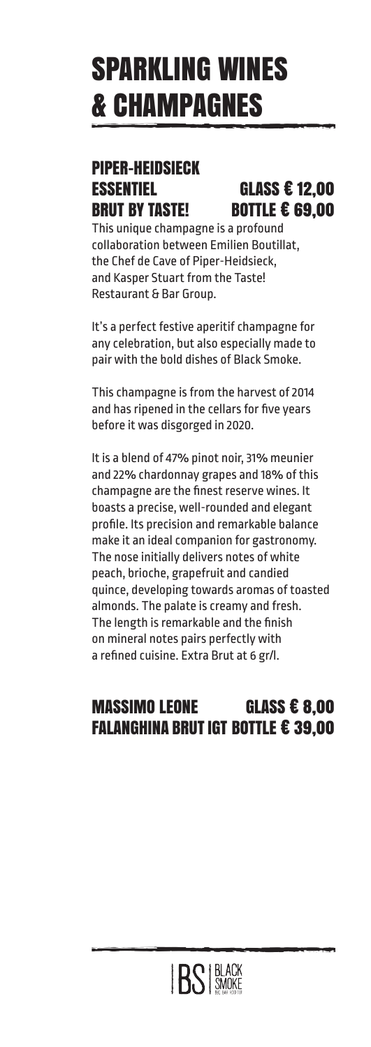# SPARKLING WINES & CHAMPAGNES

### PIPER-HEIDSIECK ESSENTIEL GLASS € 12,00 BRUT BY TASTE! BOTTLE € 69,00

This unique champagne is a profound collaboration between Emilien Boutillat, the Chef de Cave of Piper-Heidsieck, and Kasper Stuart from the Taste! Restaurant & Bar Group.

It's a perfect festive aperitif champagne for any celebration, but also especially made to pair with the bold dishes of Black Smoke.

This champagne is from the harvest of 2014 and has ripened in the cellars for five years before it was disgorged in 2020.

It is a blend of 47% pinot noir, 31% meunier and 22% chardonnay grapes and 18% of this champagne are the finest reserve wines. It boasts a precise, well-rounded and elegant profile. Its precision and remarkable balance make it an ideal companion for gastronomy. The nose initially delivers notes of white peach, brioche, grapefruit and candied quince, developing towards aromas of toasted almonds. The palate is creamy and fresh. The length is remarkable and the finish on mineral notes pairs perfectly with a refined cuisine. Extra Brut at 6 gr/l.

# MASSIMO LEONE GLASS € 8,00 FALANGHINA BRUT IGT BOTTLE € 39,00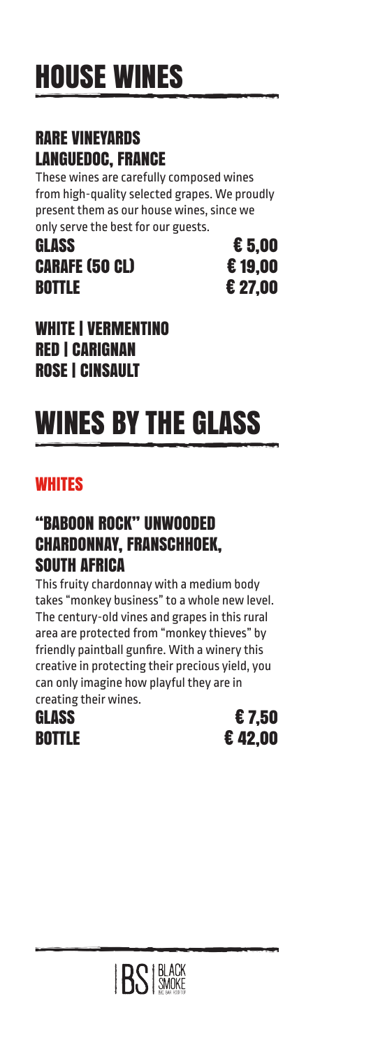## RARE VINEYARDS LANGUEDOC, FRANCE

These wines are carefully composed wines from high-quality selected grapes. We proudly present them as our house wines, since we only serve the best for our guests.

GLASS  $\epsilon$  5.00 CARAFE (50 CL) € 19,00 **BOTTLE € 27.00** 

WHITE | VERMENTINO RED | CARIGNAN ROSE | CINSAULT

# WINES BY THE GLASS

# **WHITES**

### "BABOON ROCK" UNWOODED CHARDONNAY, FRANSCHHOEK, SOUTH AFRICA

This fruity chardonnay with a medium body takes "monkey business" to a whole new level. The century-old vines and grapes in this rural area are protected from "monkey thieves" by friendly paintball gunfire. With a winery this creative in protecting their precious yield, you can only imagine how playful they are in creating their wines.



GLASS  $\epsilon$  7.50 **BOTTLE € 42.00** 

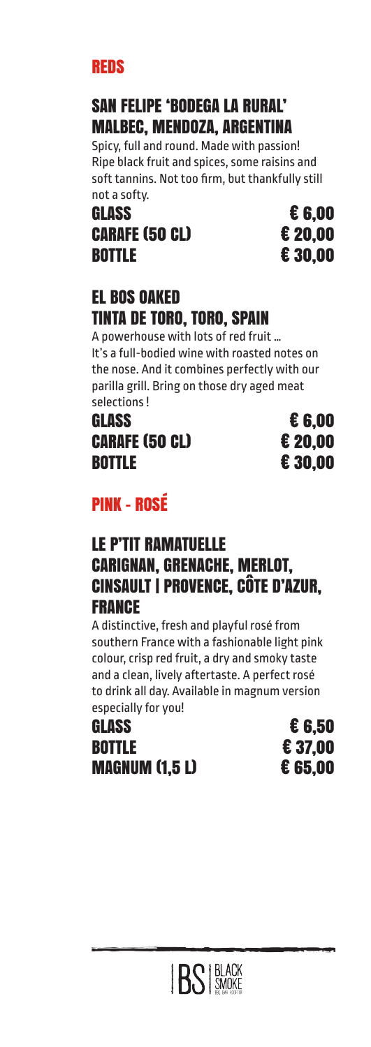## REDS

# SAN FELIPE 'BODEGA LA RURAL' MALBEC, MENDOZA, ARGENTINA

Spicy, full and round. Made with passion! Ripe black fruit and spices, some raisins and soft tannins. Not too firm, but thankfully still not a softy.

### GLASS € 6,00 CARAFE (50 CL) € 20.00 BOTTLE € 30,00

## EL BOS OAKED TINTA DE TORO, TORO, SPAIN

A powerhouse with lots of red fruit … It's a full-bodied wine with roasted notes on the nose. And it combines perfectly with our parilla grill. Bring on those dry aged meat selections !

GLASS € 6,00 CARAFE (50 CL) € 20,00 BOTTLE € 30,00

# PINK - ROSÉ

### LE P'TIT RAMATUELLE CARIGNAN, GRENACHE, MERLOT, CINSAULT | PROVENCE, CÔTE D'AZUR, **FRANCE**

A distinctive, fresh and playful rosé from southern France with a fashionable light pink colour, crisp red fruit, a dry and smoky taste and a clean, lively aftertaste. A perfect rosé to drink all day. Available in magnum version especially for you!

GLASS  $\epsilon$  6.50 **BOTTLE € 37,00** MAGNUM (1,5 L) € 65,00

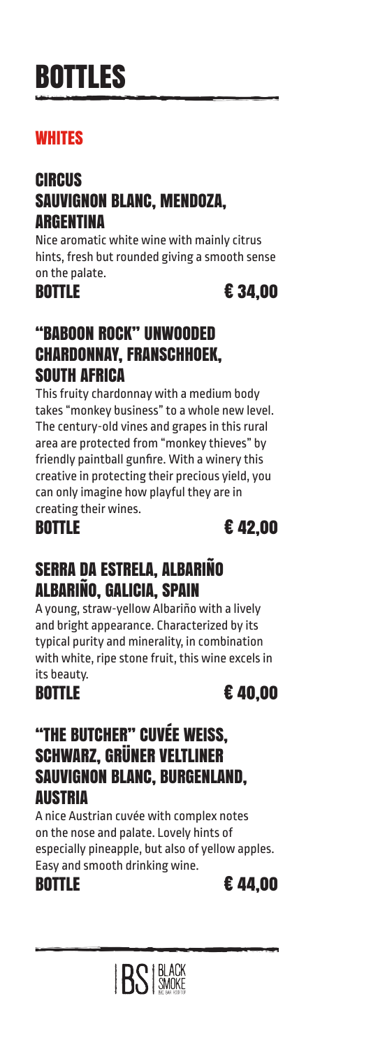# BOTTLES

## **WHITES**

## **CIRCUS** SAUVIGNON BLANC, MENDOZA, ARGENTINA

Nice aromatic white wine with mainly citrus hints, fresh but rounded giving a smooth sense on the palate.

BOTTLE € 34.00

### "BABOON ROCK" UNWOODED CHARDONNAY, FRANSCHHOEK, SOUTH AFRICA

This fruity chardonnay with a medium body takes "monkey business" to a whole new level. The century-old vines and grapes in this rural area are protected from "monkey thieves" by friendly paintball gunfire. With a winery this creative in protecting their precious yield, you can only imagine how playful they are in creating their wines.



## SERRA DA ESTRELA, ALBARIÑO ALBARIÑO, GALICIA, SPAIN

A young, straw-yellow Albariño with a lively and bright appearance. Characterized by its typical purity and minerality, in combination with white, ripe stone fruit, this wine excels in its beauty.

BOTTLE € 40,00

### "THE BUTCHER" CUVÉE WEISS, SCHWARZ, GRÜNER VELTLINER SAUVIGNON BLANC, BURGENLAND, AUSTRIA

A nice Austrian cuvée with complex notes on the nose and palate. Lovely hints of especially pineapple, but also of yellow apples. Easy and smooth drinking wine.

BOTTLE € 44,00

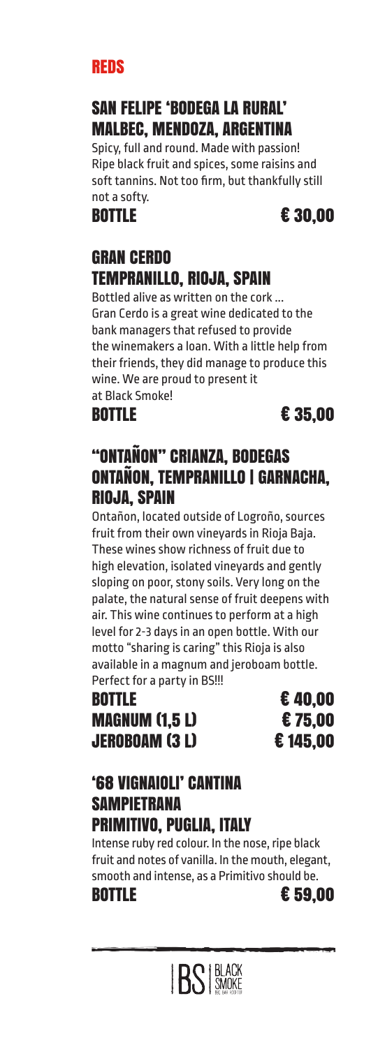### REDS

## SAN FELIPE 'BODEGA LA RURAL' MALBEC, MENDOZA, ARGENTINA

Spicy, full and round. Made with passion! Ripe black fruit and spices, some raisins and soft tannins. Not too firm, but thankfully still not a softy.

## BOTTLE € 30,00

## GRAN CERDO TEMPRANILLO, RIOJA, SPAIN

Bottled alive as written on the cork ... Gran Cerdo is a great wine dedicated to the bank managers that refused to provide the winemakers a loan. With a little help from their friends, they did manage to produce this wine. We are proud to present it at Black Smoke!

**BOTTLE € 35,00** 

## "ONTAÑON" CRIANZA, BODEGAS ONTAÑON, TEMPRANILLO | GARNACHA, RIOJA, SPAIN

Ontañon, located outside of Logroño, sources fruit from their own vineyards in Rioja Baja. These wines show richness of fruit due to high elevation, isolated vineyards and gently sloping on poor, stony soils. Very long on the palate, the natural sense of fruit deepens with air. This wine continues to perform at a high level for 2-3 days in an open bottle. With our motto "sharing is caring" this Rioja is also available in a magnum and jeroboam bottle.

Perfect for a party in BS!!! BOTTLE € 40,00

MAGNUM (1,5 L) € 75,00 JEROBOAM (3 L) € 145,00

### '68 VIGNAIOLI' CANTINA **SAMPIETRANA** PRIMITIVO, PUGLIA, ITALY

Intense ruby red colour. In the nose, ripe black fruit and notes of vanilla. In the mouth, elegant, smooth and intense, as a Primitivo should be. BOTTLE € 59,00

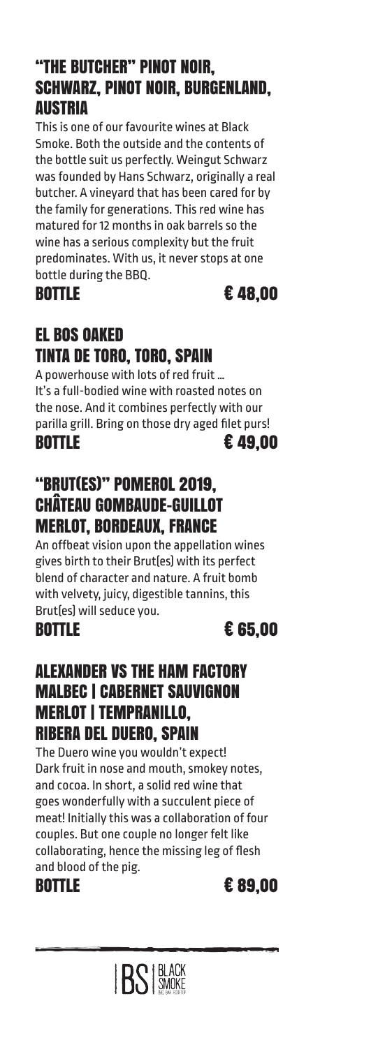### "THE BUTCHER" PINOT NOIR, SCHWARZ, PINOT NOIR, BURGENLAND, AUSTRIA

This is one of our favourite wines at Black Smoke. Both the outside and the contents of the bottle suit us perfectly. Weingut Schwarz was founded by Hans Schwarz, originally a real butcher. A vineyard that has been cared for by the family for generations. This red wine has matured for 12 months in oak barrels so the wine has a serious complexity but the fruit predominates. With us, it never stops at one bottle during the BBQ.

BOTTLE € 48,00

# EL BOS OAKED TINTA DE TORO, TORO, SPAIN

A powerhouse with lots of red fruit … It's a full-bodied wine with roasted notes on the nose. And it combines perfectly with our parilla grill. Bring on those dry aged filet purs! BOTTLE € 49,00

# "BRUT(ES)" POMEROL 2019, CHÂTEAU GOMBAUDE-GUILLOT MERLOT, BORDEAUX, FRANCE

An offbeat vision upon the appellation wines gives birth to their Brut(es) with its perfect blend of character and nature. A fruit bomb with velvety, juicy, digestible tannins, this Brut(es) will seduce you.



### ALEXANDER VS THE HAM FACTORY MALBEC | CABERNET SAUVIGNON MERLOT | TEMPRANILLO, RIBERA DEL DUERO, SPAIN

The Duero wine you wouldn't expect! Dark fruit in nose and mouth, smokey notes, and cocoa. In short, a solid red wine that goes wonderfully with a succulent piece of meat! Initially this was a collaboration of four couples. But one couple no longer felt like collaborating, hence the missing leg of flesh and blood of the pig.

**BOTTLE € 89.00** 

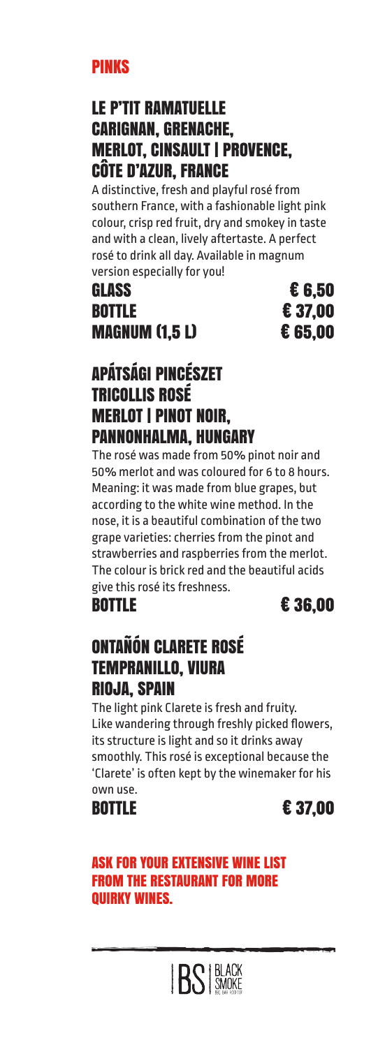### PINKS

### LE P'TIT RAMATUELLE CARIGNAN, GRENACHE, MERLOT, CINSAULT | PROVENCE, CÔTE D'AZUR, FRANCE

A distinctive, fresh and playful rosé from southern France, with a fashionable light pink colour, crisp red fruit, dry and smokey in taste and with a clean, lively aftertaste. A perfect rosé to drink all day. Available in magnum version especially for you!

## GLASS  $\epsilon$  6.50 **BOTTLE € 37.00** MAGNUM (1,5 L) € 65,00

## APÁTSÁGI PINCÉSZET TRICOLLIS ROSÉ MERLOT | PINOT NOIR, PANNONHALMA, HUNGARY

The rosé was made from 50% pinot noir and 50% merlot and was coloured for 6 to 8 hours. Meaning: it was made from blue grapes, but according to the white wine method. In the nose, it is a beautiful combination of the two grape varieties: cherries from the pinot and strawberries and raspberries from the merlot. The colour is brick red and the beautiful acids give this rosé its freshness.

BOTTLE € 36,00

## ONTAÑÓN CLARETE ROSÉ TEMPRANILLO, VIURA RIOJA, SPAIN

The light pink Clarete is fresh and fruity. Like wandering through freshly picked flowers, its structure is light and so it drinks away smoothly. This rosé is exceptional because the 'Clarete' is often kept by the winemaker for his own use.

BOTTLE  $\epsilon$  37.00

### ASK FOR YOUR EXTENSIVE WINE LIST FROM THE RESTAURANT FOR MORE QUIRKY WINES.

**BS** SMOKE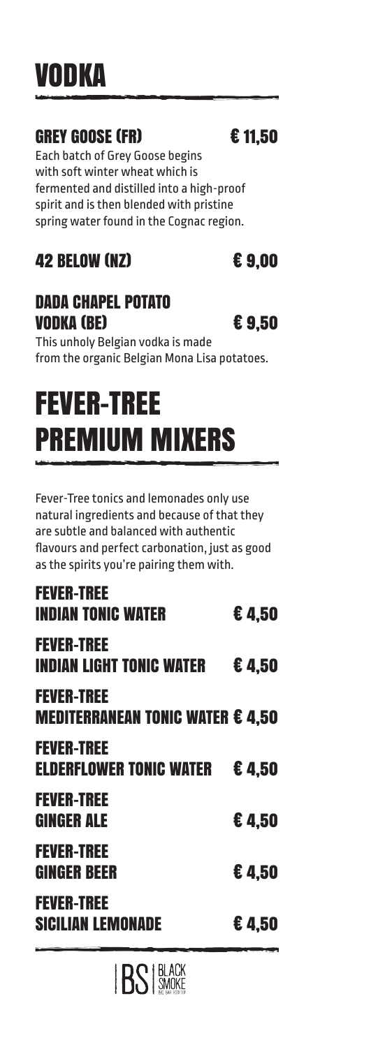# VODKA

# GREY GOOSE (FR) € 11.50

Each batch of Grey Goose begins with soft winter wheat which is fermented and distilled into a high-proof spirit and is then blended with pristine spring water found in the Cognac region.

# 42 BELOW (NZ) € 9.00

## DADA CHAPEL POTATO **VODKA (BE)**  $\epsilon$  9.50

This unholy Belgian vodka is made from the organic Belgian Mona Lisa potatoes.

# FEVER-TREE PREMIUM MIXERS

Fever-Tree tonics and lemonades only use natural ingredients and because of that they are subtle and balanced with authentic flavours and perfect carbonation, just as good as the spirits you're pairing them with.

| <b>FEVER-TREE</b><br><b>SICILIAN LEMONADE</b>                | €4.50 |
|--------------------------------------------------------------|-------|
| <b>FEVER-TREE</b><br><b>GINGER BEER</b>                      | €4,50 |
| <b>FEVER-TREE</b><br><b>GINGER ALE</b>                       | €4.50 |
| <b>FEVER-TREE</b><br><b>ELDERFLOWER TONIC WATER</b>          | €4.50 |
| <b>FEVER-TREE</b><br><b>MEDITERRANEAN TONIC WATER € 4,50</b> |       |
| <b>FEVER-TREE</b><br><b>INDIAN LIGHT TONIC WATER</b>         | €4,50 |
| <b>FEVER-TREE</b><br><b>INDIAN TONIC WATER</b>               | €4.50 |

**BS** BLACK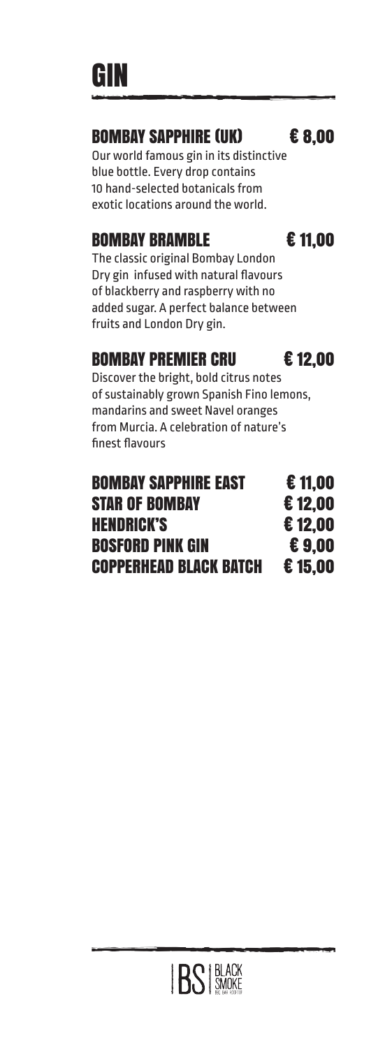GIN

### BOMBAY SAPPHIRE (UK) € 8,00

Our world famous gin in its distinctive blue bottle. Every drop contains 10 hand-selected botanicals from exotic locations around the world.

## BOMBAY BRAMBLE **€ 11.00**

The classic original Bombay London Dry gin infused with natural flavours of blackberry and raspberry with no added sugar. A perfect balance between fruits and London Dry gin.

## BOMBAY PREMIER CRU € 12,00

Discover the bright, bold citrus notes of sustainably grown Spanish Fino lemons, mandarins and sweet Navel oranges from Murcia. A celebration of nature's finest flavours

| <b>BOMBAY SAPPHIRE EAST</b>   | €11.00 |
|-------------------------------|--------|
| <b>STAR OF BOMBAY</b>         | €12.00 |
| <b>HENDRICK'S</b>             | €12.00 |
| <b>BOSFORD PINK GIN</b>       | €9.00  |
| <b>COPPERHEAD BLACK BATCH</b> | €15.00 |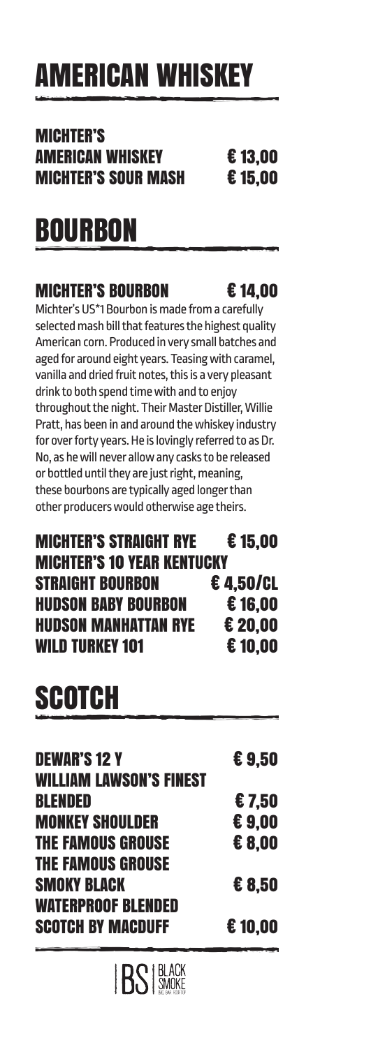# AMERICAN WHISKEY

## MICHTER'S AMERICAN WHISKEY € 13,00 MICHTER'S SOUR MASH € 15,00

# **BOURBON**

# MICHTER'S BOURBON € 14,00

Michter's US\*1 Bourbon is made from a carefully selected mash bill that features the highest quality American corn. Produced in very small batches and aged for around eight years. Teasing with caramel, vanilla and dried fruit notes, this is a very pleasant drink to both spend time with and to enjoy throughout the night. Their Master Distiller, Willie Pratt, has been in and around the whiskey industry for over forty years. He is lovingly referred to as Dr. No, as he will never allow any casks to be released or bottled until they are just right, meaning, these bourbons are typically aged longer than other producers would otherwise age theirs.

## MICHTER'S STRAIGHT RYE € 15,00 MICHTER'S 10 YEAR KENTUCKY STRAIGHT BOURBON € 4,50/CL HUDSON BABY BOURBON € 16,00 HUDSON MANHATTAN RYE € 20,00 WILD TURKEY 101  $\epsilon$  10.00

# **SCOTCH**

| <b>DEWAR'S 12 Y</b><br><b>WILLIAM LAWSON'S FINEST</b> | €9.50  |
|-------------------------------------------------------|--------|
|                                                       |        |
| <b>BLENDED</b>                                        | €7.50  |
| <b>MONKEY SHOULDER</b>                                | €9.00  |
| <b>THE FAMOUS GROUSE</b>                              | € 8.00 |
| <b>THE FAMOUS GROUSE</b>                              |        |
| <b>SMOKY BLACK</b>                                    | € 8.50 |
| <b>WATERPROOF BLENDED</b>                             |        |
| <b>SCOTCH BY MACDUFF</b>                              | €10.00 |
|                                                       |        |

**IRS BLACK**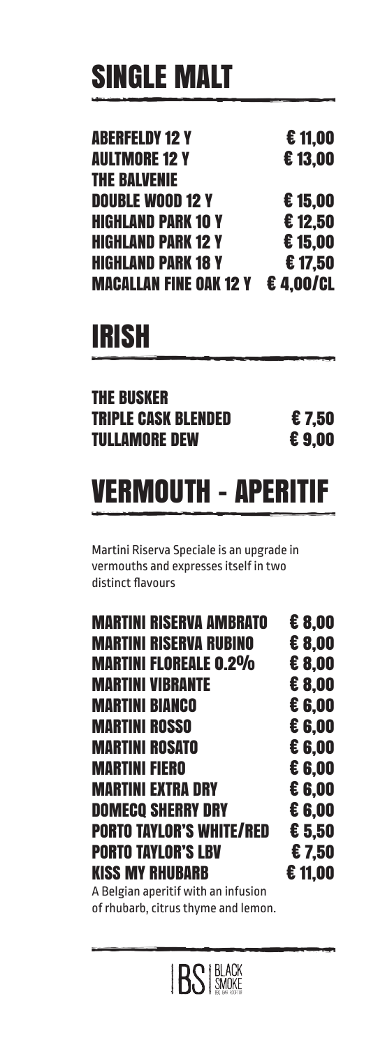# SINGLE MALT

| <b>Aberfeldy 12 Y</b>         | €11,00   |
|-------------------------------|----------|
| <b>AULTMORE 12 Y</b>          | €13,00   |
| <b>THE BALVENIE</b>           |          |
| <b>DOUBLE WOOD 12 Y</b>       | €15.00   |
| <b>HIGHLAND PARK 10 Y</b>     | €12,50   |
| <b>HIGHLAND PARK 12 Y</b>     | €15,00   |
| <b>HIGHLAND PARK 18 Y</b>     | €17,50   |
| <b>MACALLAN FINE OAK 12 Y</b> | €4.00/CL |
|                               |          |

# IRISH

## THE BUSKER TRIPLE CASK BLENDED € 7,50<br>TULLAMORE DEW € 9,00 **TULLAMORE DEW**

# VERMOUTH – APERITIF

Martini Riserva Speciale is an upgrade in vermouths and expresses itself in two distinct flavours

| € 8,00 |
|--------|
| € 8,00 |
| € 8,00 |
| € 8,00 |
| € 6.00 |
| € 6,00 |
| € 6.00 |
| € 6.00 |
| € 6,00 |
| € 6,00 |
| € 5,50 |
| €7.50  |
|        |
| €11,00 |
|        |
|        |
|        |

of rhubarb, citrus thyme and lemon.

**BS** BLACK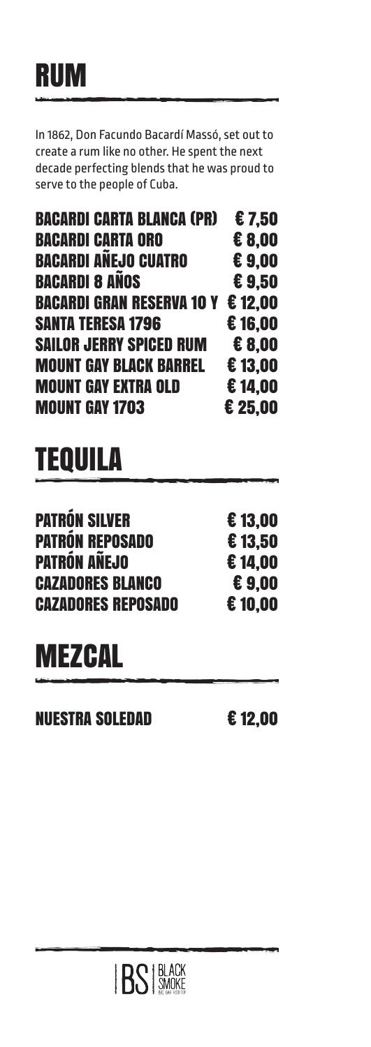# RUM

In 1862, Don Facundo Bacardí Massó, set out to create a rum like no other. He spent the next decade perfecting blends that he was proud to serve to the people of Cuba.

| <b>BACARDI CARTA BLANCA (PR)</b>         | €7.50   |
|------------------------------------------|---------|
| <b>BACARDI CARTA ORO</b>                 | € 8,00  |
| <b>BACARDI ANEJO CUATRO</b>              | €9.00   |
| <b>BACARDI 8 AÑOS</b>                    | €9.50   |
| <b>BACARDI GRAN RESERVA 10 Y € 12,00</b> |         |
| <b>SANTA TERESA 1796</b>                 | €16,00  |
| <b>SAILOR JERRY SPICED RUM</b>           | € 8.00  |
| <b>MOUNT GAY BLACK BARREL</b>            | €13.00  |
| <b>MOUNT GAY EXTRA OLD</b>               | €14.00  |
| <b>MOUNT GAY 1703</b>                    | € 25,00 |

# **TEQUILA**

| <b>PATRÓN SILVER</b>      | €13.00  |
|---------------------------|---------|
| <b>PATRÓN REPOSADO</b>    | €13.50  |
| PATRÓN AÑEJO              | €14.00  |
| <b>CAZADORES BLANCO</b>   | €9.00   |
| <b>CAZADORES REPOSADO</b> | € 10.00 |
|                           |         |

# **MEZCAL**

NUESTRA SOLEDAD € 12,00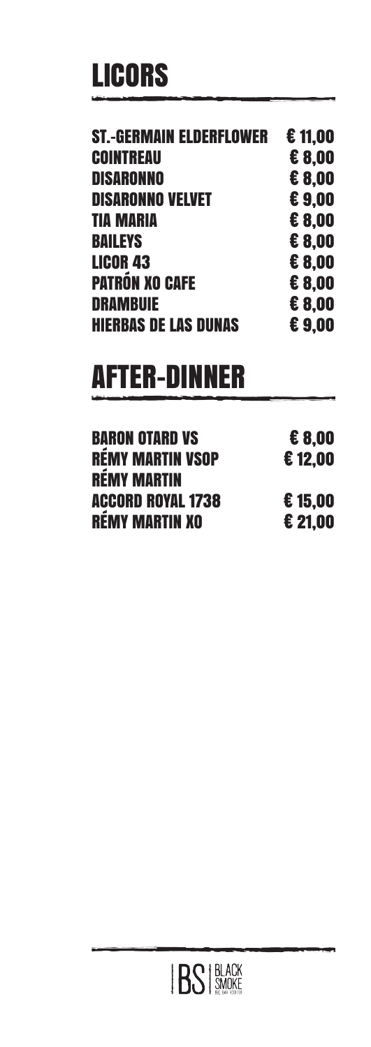# LICORS

| <b>ST.-GERMAIN ELDERFLOWER</b> | €11,00 |
|--------------------------------|--------|
| <b>COINTREAU</b>               | € 8,00 |
| <b>DISARONNO</b>               | € 8.00 |
| <b>DISARONNO VELVET</b>        | €9.00  |
| <b>TIA MARIA</b>               | € 8,00 |
| <b>BAILEYS</b>                 | € 8.00 |
| <b>LICOR 43</b>                | € 8,00 |
| <b>PATRÓN XO CAFE</b>          | € 8.00 |
| <b>DRAMBUIE</b>                | € 8.00 |
| <b>HIERBAS DE LAS DUNAS</b>    | €9.00  |
|                                |        |

# AFTER-DINNER

| <b>BARON OTARD VS</b> | € 8.00  |
|-----------------------|---------|
| RÉMY MARTIN VSOP      | €12.00  |
| <b>RÉMY MARTIN</b>    |         |
| ACCORD ROYAL 1738     | £15.00  |
| RÉMY MARTIN XO        | € 21.00 |

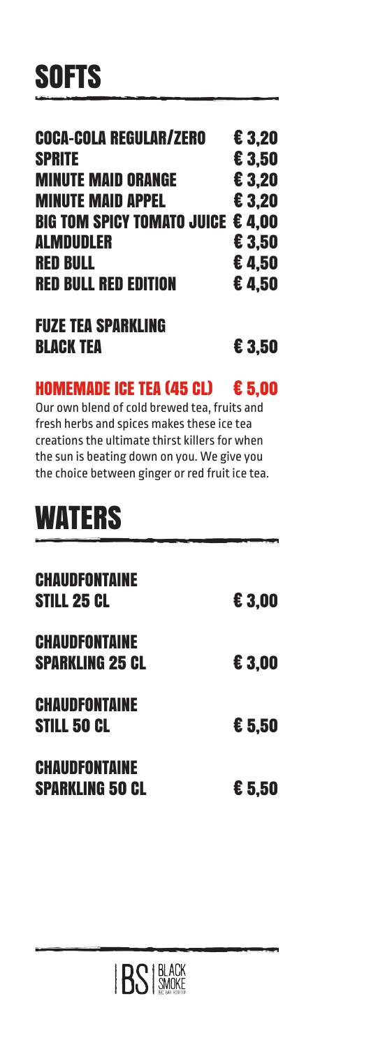| <b>COCA-COLA REGULAR/ZERO</b>     | € 3.20 |
|-----------------------------------|--------|
| <b>SPRITE</b>                     | € 3,50 |
| <b>MINUTE MAID ORANGE</b>         | € 3.20 |
| <b>MINUTE MAID APPEL</b>          | € 3.20 |
| BIG TOM SPICY TOMATO JUICE € 4.00 |        |
| <b>ALMDUDLER</b>                  | € 3,50 |
| <b>RED BULL</b>                   | €4.50  |
| <b>RED BULL RED EDITION</b>       | €4.50  |
| <b>FUZE TEA SPARKLING</b>         |        |

### HOMEMADE ICE TEA (45 CL) € 5,00

BLACK TEA **€ 3.50** 

Our own blend of cold brewed tea, fruits and fresh herbs and spices makes these ice tea creations the ultimate thirst killers for when the sun is beating down on you. We give you the choice between ginger or red fruit ice tea.

# **WATERS**

| <b>CHAUDFONTAINE</b><br><b>STILL 25 CL</b>     | € 3,00 |
|------------------------------------------------|--------|
| <b>CHAUDFONTAINE</b><br><b>SPARKLING 25 CL</b> | € 3,00 |
| <b>CHAUDFONTAINE</b><br><b>STILL 50 CL</b>     | € 5.50 |
| <b>CHAUDFONTAINE</b><br><b>SPARKLING 50 CL</b> | € 5.50 |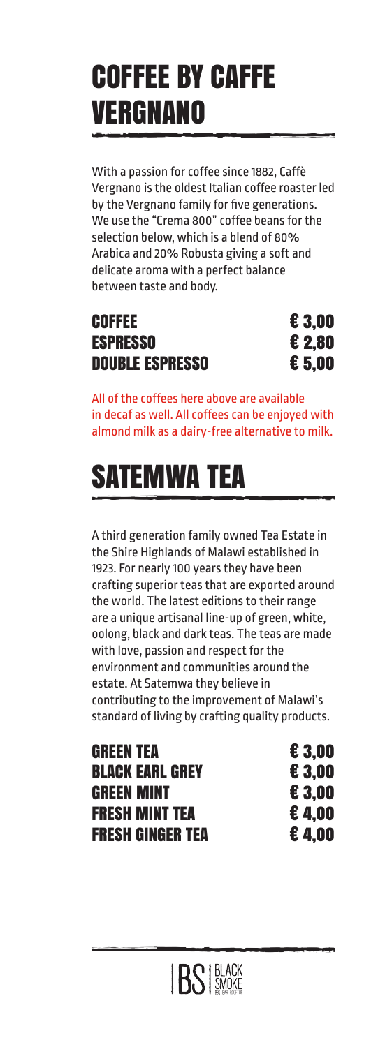# COFFEE BY CAFFE VERGNANO

With a passion for coffee since 1882, Caffè Vergnano is the oldest Italian coffee roaster led by the Vergnano family for five generations. We use the "Crema 800" coffee beans for the selection below, which is a blend of 80% Arabica and 20% Robusta giving a soft and delicate aroma with a perfect balance between taste and body.

### **COFFEE ESPRESSO DOUBLE ESPRESSO**

| € 3,00   |
|----------|
| € 2,80   |
| $E$ 5,00 |

All of the coffees here above are available in decaf as well. All coffees can be enjoyed with almond milk as a dairy-free alternative to milk.

# SATEMWA TEA

A third generation family owned Tea Estate in the Shire Highlands of Malawi established in 1923. For nearly 100 years they have been crafting superior teas that are exported around the world. The latest editions to their range are a unique artisanal line-up of green, white, oolong, black and dark teas. The teas are made with love, passion and respect for the environment and communities around the estate. At Satemwa they believe in contributing to the improvement of Malawi's standard of living by crafting quality products.

GREEN TEA $\epsilon$  3.00 BLACK EARL GREY **E** 3.00 GREEN MINT € 3.00 FRESH MINT TEA € 4,00 FRESH GINGER TEA € 4,00

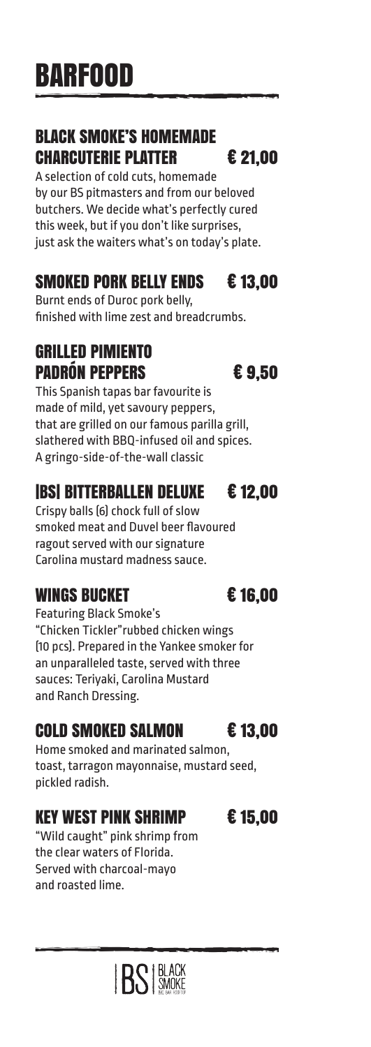# BARFOOD

## BLACK SMOKE'S HOMEMADE CHARCUTERIE PLATTER € 21,00

A selection of cold cuts, homemade by our BS pitmasters and from our beloved butchers. We decide what's perfectly cured this week, but if you don't like surprises, just ask the waiters what's on today's plate.

# SMOKED PORK BELLY ENDS € 13,00

Burnt ends of Duroc pork belly, finished with lime zest and breadcrumbs.

# GRILLED PIMIENTO PADRÓN PEPPERS € 9,50

This Spanish tapas bar favourite is made of mild, yet savoury peppers, that are grilled on our famous parilla grill, slathered with BBQ-infused oil and spices. A gringo-side-of-the-wall classic

# |BS| BITTERBALLEN DELUXE € 12,00

Crispy balls (6) chock full of slow smoked meat and Duvel beer flavoured ragout served with our signature Carolina mustard madness sauce.

# WINGS BUCKET E 16,00

Featuring Black Smoke's "Chicken Tickler"rubbed chicken wings (10 pcs). Prepared in the Yankee smoker for an unparalleled taste, served with three sauces: Teriyaki, Carolina Mustard and Ranch Dressing.

# COLD SMOKED SALMON € 13,00

Home smoked and marinated salmon, toast, tarragon mayonnaise, mustard seed, pickled radish.

# KEY WEST PINK SHRIMP € 15,00

"Wild caught" pink shrimp from the clear waters of Florida. Served with charcoal-mayo and roasted lime.



**IRS BLACK**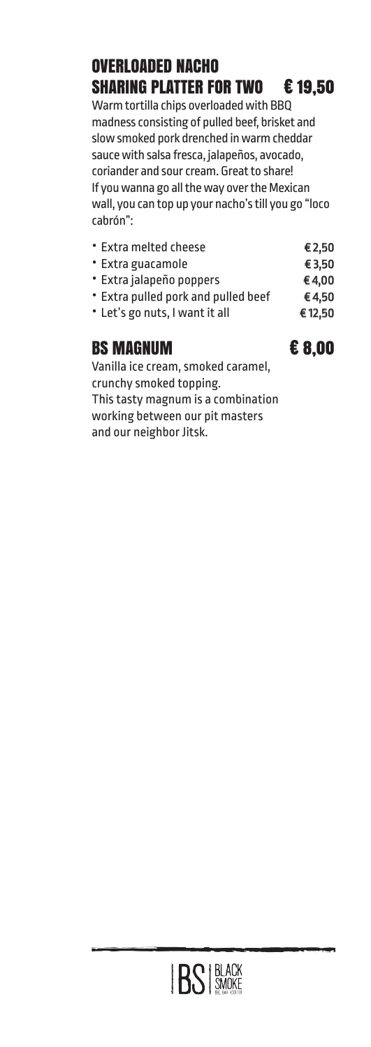# OVERLOADED NACHO SHARING PLATTER FOR TWO € 19,50

Warm tortilla chips overloaded with BBQ madness consisting of pulled beef, brisket and slow smoked pork drenched in warm cheddar sauce with salsa fresca, jalapeños, avocado, coriander and sour cream. Great to share! If you wanna go all the way over the Mexican wall, you can top up your nacho's till you go "loco cabrón":

• Extra melted cheese € 2,50 • Extra guacamole € 3,50 • Extra jalapeño poppers € 4,00 • Extra pulled pork and pulled beef  $\epsilon$ 4,50 • Let's go nuts, I want it all  $€12,50$ BS MAGNUM € 8.00

Vanilla ice cream, smoked caramel, crunchy smoked topping. This tasty magnum is a combination working between our pit masters and our neighbor Jitsk.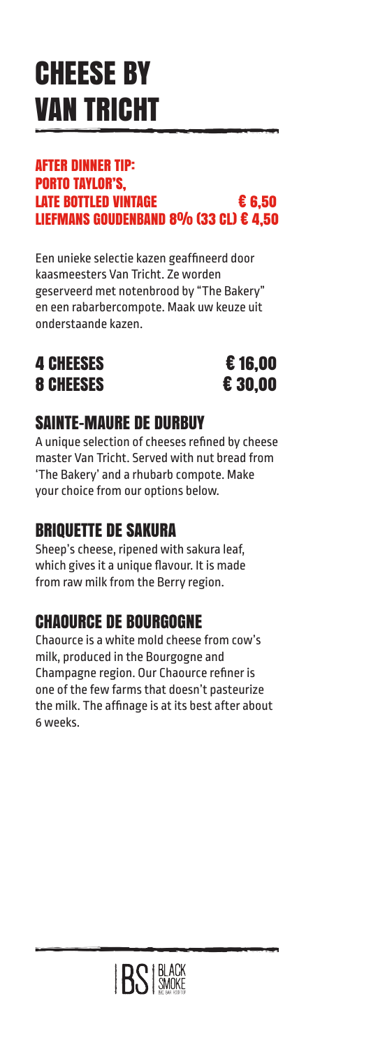# CHEESE BY VAN TRICHT

### AFTER DINNER TIP: PORTO TAYLOR'S, LATE BOTTLED VINTAGE 6.50 LIEFMANS GOUDENBAND 8% (33 CL)  $\epsilon$  4.50

Een unieke selectie kazen geaffineerd door kaasmeesters Van Tricht. Ze worden geserveerd met notenbrood by "The Bakery" en een rabarbercompote. Maak uw keuze uit onderstaande kazen.

## 4 CHEESES € 16.00 8 CHEESES 6 20.00



## SAINTE-MAURE DE DURBUY

A unique selection of cheeses refined by cheese master Van Tricht. Served with nut bread from 'The Bakery' and a rhubarb compote. Make your choice from our options below.

# BRIQUETTE DE SAKURA

Sheep's cheese, ripened with sakura leaf, which gives it a unique flavour. It is made from raw milk from the Berry region.

# CHAOURCE DE BOURGOGNE

Chaource is a white mold cheese from cow's milk, produced in the Bourgogne and Champagne region. Our Chaource refiner is one of the few farms that doesn't pasteurize the milk. The affinage is at its best after about 6 weeks.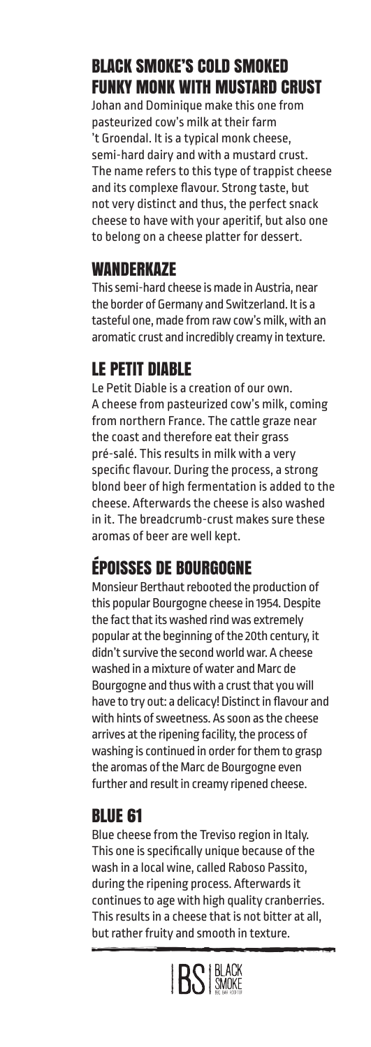# BLACK SMOKE'S COLD SMOKED FUNKY MONK WITH MUSTARD CRUST

Johan and Dominique make this one from pasteurized cow's milk at their farm 't Groendal. It is a typical monk cheese, semi-hard dairy and with a mustard crust. The name refers to this type of trappist cheese and its complexe flavour. Strong taste, but not very distinct and thus, the perfect snack cheese to have with your aperitif, but also one to belong on a cheese platter for dessert.

### **WANDERKAZE**

This semi-hard cheese is made in Austria, near the border of Germany and Switzerland. It is a tasteful one, made from raw cow's milk, with an aromatic crust and incredibly creamy in texture.

## LE PETIT DIABLE

Le Petit Diable is a creation of our own. A cheese from pasteurized cow's milk, coming from northern France. The cattle graze near the coast and therefore eat their grass pré-salé. This results in milk with a very specific flavour. During the process, a strong blond beer of high fermentation is added to the cheese. Afterwards the cheese is also washed in it. The breadcrumb-crust makes sure these aromas of beer are well kept.

# ÉPOISSES DE BOURGOGNE

Monsieur Berthaut rebooted the production of this popular Bourgogne cheese in 1954. Despite the fact that its washed rind was extremely popular at the beginning of the 20th century, it didn't survive the second world war. A cheese washed in a mixture of water and Marc de Bourgogne and thus with a crust that you will have to try out: a delicacy! Distinct in flavour and with hints of sweetness. As soon as the cheese arrives at the ripening facility, the process of washing is continued in order for them to grasp the aromas of the Marc de Bourgogne even further and result in creamy ripened cheese.

## BLUE 61

Blue cheese from the Treviso region in Italy. This one is specifically unique because of the wash in a local wine, called Raboso Passito, during the ripening process. Afterwards it continues to age with high quality cranberries. This results in a cheese that is not bitter at all, but rather fruity and smooth in texture.